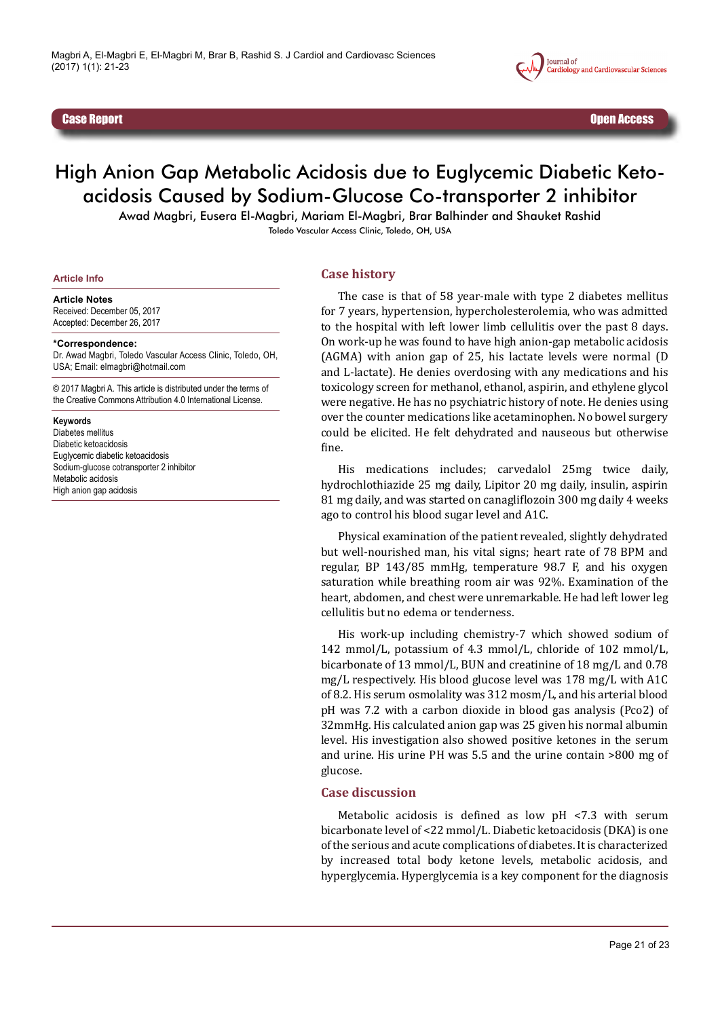

Case Report Open Access

# High Anion Gap Metabolic Acidosis due to Euglycemic Diabetic Ketoacidosis Caused by Sodium-Glucose Co-transporter 2 inhibitor

Awad Magbri, Eusera El-Magbri, Mariam El-Magbri, Brar Balhinder and Shauket Rashid Toledo Vascular Access Clinic, Toledo, OH, USA

#### **Article Info**

#### **Article Notes**

Received: December 05, 2017 Accepted: December 26, 2017

#### **\*Correspondence:**

Dr. Awad Magbri, Toledo Vascular Access Clinic, Toledo, OH, USA; Email: elmagbri@hotmail.com

© 2017 Magbri A. This article is distributed under the terms of the Creative Commons Attribution 4.0 International License.

#### **Keywords**

Diabetes mellitus Diabetic ketoacidosis Euglycemic diabetic ketoacidosis Sodium-glucose cotransporter 2 inhibitor Metabolic acidosis High anion gap acidosis

### **Case history**

The case is that of 58 year-male with type 2 diabetes mellitus for 7 years, hypertension, hypercholesterolemia, who was admitted to the hospital with left lower limb cellulitis over the past 8 days. On work-up he was found to have high anion-gap metabolic acidosis (AGMA) with anion gap of 25, his lactate levels were normal (D and L-lactate). He denies overdosing with any medications and his toxicology screen for methanol, ethanol, aspirin, and ethylene glycol were negative. He has no psychiatric history of note. He denies using over the counter medications like acetaminophen. No bowel surgery could be elicited. He felt dehydrated and nauseous but otherwise fine.

His medications includes; carvedalol 25mg twice daily, hydrochlothiazide 25 mg daily, Lipitor 20 mg daily, insulin, aspirin 81 mg daily, and was started on canagliflozoin 300 mg daily 4 weeks ago to control his blood sugar level and A1C.

Physical examination of the patient revealed, slightly dehydrated but well-nourished man, his vital signs; heart rate of 78 BPM and regular, BP 143/85 mmHg, temperature 98.7 F, and his oxygen saturation while breathing room air was 92%. Examination of the heart, abdomen, and chest were unremarkable. He had left lower leg cellulitis but no edema or tenderness.

His work-up including chemistry-7 which showed sodium of 142 mmol/L, potassium of 4.3 mmol/L, chloride of 102 mmol/L, bicarbonate of 13 mmol/L, BUN and creatinine of 18 mg/L and 0.78 mg/L respectively. His blood glucose level was 178 mg/L with A1C of 8.2. His serum osmolality was 312 mosm/L, and his arterial blood pH was 7.2 with a carbon dioxide in blood gas analysis (Pco2) of 32mmHg. His calculated anion gap was 25 given his normal albumin level. His investigation also showed positive ketones in the serum and urine. His urine PH was 5.5 and the urine contain >800 mg of glucose.

## **Case discussion**

Metabolic acidosis is defined as low pH <7.3 with serum bicarbonate level of <22 mmol/L. Diabetic ketoacidosis (DKA) is one of the serious and acute complications of diabetes. It is characterized by increased total body ketone levels, metabolic acidosis, and hyperglycemia. Hyperglycemia is a key component for the diagnosis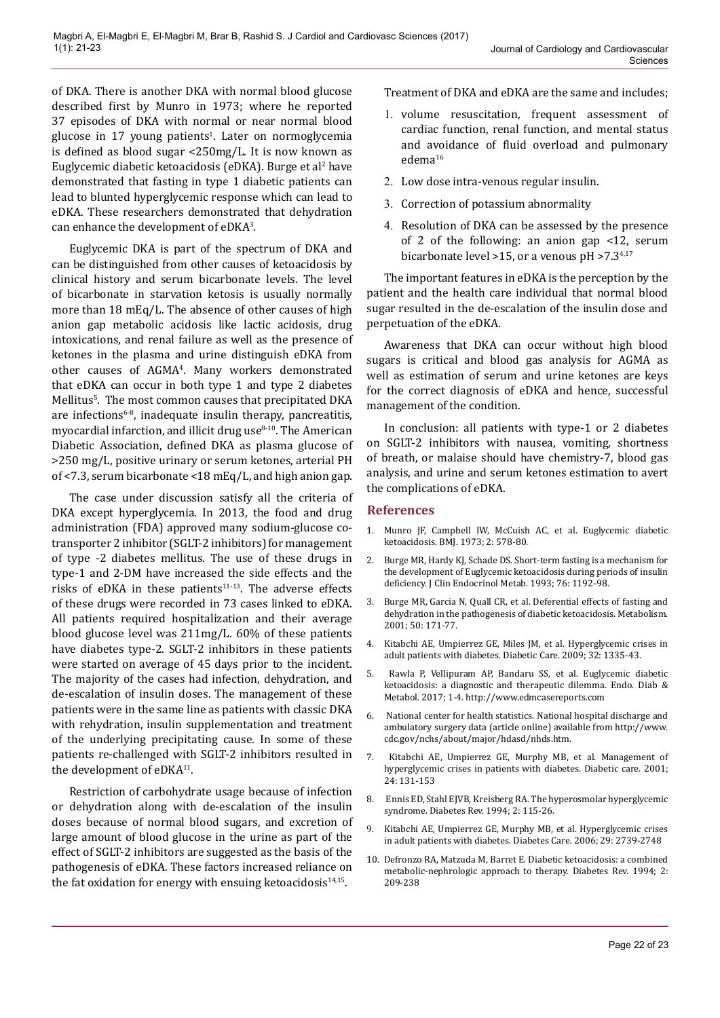of DKA. There is another DKA with normal blood glucose described first by Munro in 1973; where he reported 37 episodes of DKA with normal or near normal blood glucose in 17 young patients<sup>1</sup>. Later on normoglycemia is defined as blood sugar <250mg/L. It is now known as Euglycemic diabetic ketoacidosis (eDKA). Burge et al<sup>2</sup> have demonstrated that fasting in type 1 diabetic patients can lead to blunted hyperglycemic response which can lead to eDKA. These researchers demonstrated that dehydration can enhance the development of  $eDKA<sup>3</sup>$ .

Euglycemic DKA is part of the spectrum of DKA and can be distinguished from other causes of ketoacidosis by clinical history and serum bicarbonate levels. The level of bicarbonate in starvation ketosis is usually normally more than 18 mEq/L. The absence of other causes of high anion gap metabolic acidosis like lactic acidosis, drug intoxications, and renal failure as well as the presence of ketones in the plasma and urine distinguish eDKA from other causes of AGMA<sup>4</sup> . Many workers demonstrated that eDKA can occur in both type 1 and type 2 diabetes Mellitus<sup>5</sup>. The most common causes that precipitated DKA are infections<sup>6-8</sup>, inadequate insulin therapy, pancreatitis, myocardial infarction, and illicit drug use $8-10$ . The American Diabetic Association, defined DKA as plasma glucose of >250 mg/L, positive urinary or serum ketones, arterial PH of <7.3, serum bicarbonate <18 mEq/L, and high anion gap.

The case under discussion satisfy all the criteria of DKA except hyperglycemia. In 2013, the food and drug administration (FDA) approved many sodium-glucose cotransporter 2 inhibitor (SGLT-2 inhibitors) for management of type -2 diabetes mellitus. The use of these drugs in type-1 and 2-DM have increased the side effects and the risks of eDKA in these patients $11-13$ . The adverse effects of these drugs were recorded in 73 cases linked to eDKA. All patients required hospitalization and their average blood glucose level was 211mg/L. 60% of these patients have diabetes type-2. SGLT-2 inhibitors in these patients were started on average of 45 days prior to the incident. The majority of the cases had infection, dehydration, and de-escalation of insulin doses. The management of these patients were in the same line as patients with classic DKA with rehydration, insulin supplementation and treatment of the underlying precipitating cause. In some of these patients re-challenged with SGLT-2 inhibitors resulted in the development of eDKA<sup>11</sup>.

Restriction of carbohydrate usage because of infection or dehydration along with de-escalation of the insulin doses because of normal blood sugars, and excretion of large amount of blood glucose in the urine as part of the effect of SGLT-2 inhibitors are suggested as the basis of the pathogenesis of eDKA. These factors increased reliance on the fat oxidation for energy with ensuing ketoacidosis $14,15$ .

Treatment of DKA and eDKA are the same and includes;

- 1. volume resuscitation, frequent assessment of cardiac function, renal function, and mental status and avoidance of fluid overload and pulmonary edema<sup>16</sup>
- 2. Low dose intra-venous regular insulin.
- 3. Correction of potassium abnormality
- 4. Resolution of DKA can be assessed by the presence of 2 of the following: an anion gap <12, serum bicarbonate level >15, or a venous pH >7.34,17

The important features in eDKA is the perception by the patient and the health care individual that normal blood sugar resulted in the de-escalation of the insulin dose and perpetuation of the eDKA.

Awareness that DKA can occur without high blood sugars is critical and blood gas analysis for AGMA as well as estimation of serum and urine ketones are keys for the correct diagnosis of eDKA and hence, successful management of the condition.

In conclusion: all patients with type-1 or 2 diabetes on SGLT-2 inhibitors with nausea, vomiting, shortness of breath, or malaise should have chemistry-7, blood gas analysis, and urine and serum ketones estimation to avert the complications of eDKA.

## **References**

- 1. Munro JF, Campbell IW, McCuish AC, et al. Euglycemic diabetic ketoacidosis. BMJ. 1973; 2: 578-80.
- 2. Burge MR, Hardy KJ, Schade DS. Short-term fasting is a mechanism for the development of Euglycemic ketoacidosis during periods of insulin deficiency. J Clin Endocrinol Metab. 1993; 76: 1192-98.
- 3. Burge MR, Garcia N, Quall CR, et al. Deferential effects of fasting and dehydration in the pathogenesis of diabetic ketoacidosis. Metabolism. 2001; 50: 171-77.
- 4. Kitabchi AE, Umpierrez GE, Miles JM, et al. Hyperglycemic crises in adult patients with diabetes. Diabetic Care. 2009; 32: 1335-43.
- 5. Rawla P, Vellipuram AP, Bandaru SS, et al. Euglycemic diabetic ketoacidosis: a diagnostic and therapeutic dilemma. Endo. Diab & Metabol. 2017; 1-4. <http://www.edmcasereports.com>
- 6. National center for health statistics. National hospital discharge and ambulatory surgery data (article online) available from [http://www.](http://www.cdc.gov/nchs/about/major/hdasd/nhds.htm) [cdc.gov/nchs/about/major/hdasd/nhds.htm](http://www.cdc.gov/nchs/about/major/hdasd/nhds.htm).
- 7. Kitabchi AE, Umpierrez GE, Murphy MB, et al. Management of hyperglycemic crises in patients with diabetes. Diabetic care. 2001; 24: 131-153
- 8. Ennis ED, Stahl EJVB, Kreisberg RA. The hyperosmolar hyperglycemic syndrome. Diabetes Rev. 1994; 2: 115-26.
- 9. Kitabchi AE, Umpierrez GE, Murphy MB, et al. Hyperglycemic crises in adult patients with diabetes. Diabetes Care. 2006; 29: 2739-2748
- 10. Defronzo RA, Matzuda M, Barret E. Diabetic ketoacidosis: a combined metabolic-nephrologic approach to therapy. Diabetes Rev. 1994; 2: 209-238